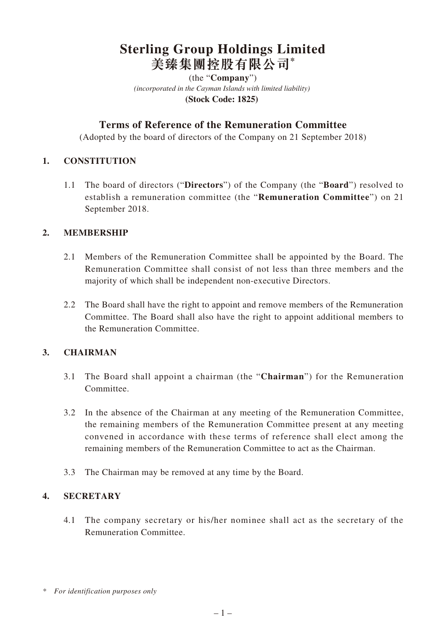# **Sterling Group Holdings Limited 美臻集團控股有限公司\***

*(incorporated in the Cayman Islands with limited liability)*  **(Stock Code: 1825)**  (the "**Company**")

# **Terms of Reference of the Remuneration Committee**

(Adopted by the board of directors of the Company on 21 September 2018)

#### **1. CONSTITUTION**

1.1 The board of directors ("**Directors**") of the Company (the "**Board**") resolved to establish a remuneration committee (the "**Remuneration Committee**") on 21 September 2018.

#### **2. MEMBERSHIP**

- 2.1 Members of the Remuneration Committee shall be appointed by the Board. The Remuneration Committee shall consist of not less than three members and the majority of which shall be independent non-executive Directors.
- 2.2 The Board shall have the right to appoint and remove members of the Remuneration Committee. The Board shall also have the right to appoint additional members to the Remuneration Committee.

## **3. CHAIRMAN**

- 3.1 The Board shall appoint a chairman (the "**Chairman**") for the Remuneration Committee.
- 3.2 In the absence of the Chairman at any meeting of the Remuneration Committee, the remaining members of the Remuneration Committee present at any meeting convened in accordance with these terms of reference shall elect among the remaining members of the Remuneration Committee to act as the Chairman.
- 3.3 The Chairman may be removed at any time by the Board.

#### **4. SECRETARY**

4.1 The company secretary or his/her nominee shall act as the secretary of the Remuneration Committee.

*<sup>\*</sup> For identification purposes only*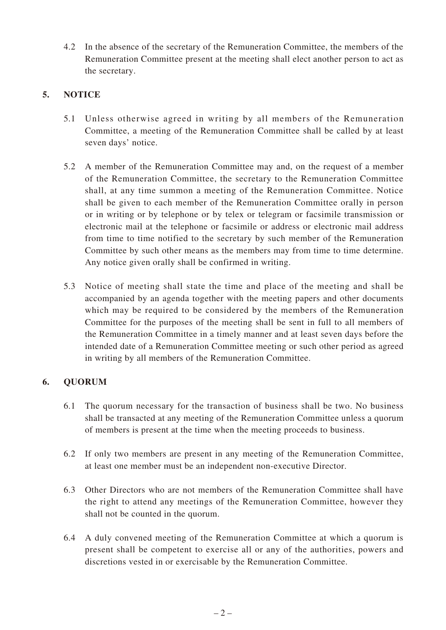4.2 In the absence of the secretary of the Remuneration Committee, the members of the Remuneration Committee present at the meeting shall elect another person to act as the secretary.

# **5. NOTICE**

- 5.1 Unless otherwise agreed in writing by all members of the Remuneration Committee, a meeting of the Remuneration Committee shall be called by at least seven days' notice.
- 5.2 A member of the Remuneration Committee may and, on the request of a member of the Remuneration Committee, the secretary to the Remuneration Committee shall, at any time summon a meeting of the Remuneration Committee. Notice shall be given to each member of the Remuneration Committee orally in person or in writing or by telephone or by telex or telegram or facsimile transmission or electronic mail at the telephone or facsimile or address or electronic mail address from time to time notified to the secretary by such member of the Remuneration Committee by such other means as the members may from time to time determine. Any notice given orally shall be confirmed in writing.
- 5.3 Notice of meeting shall state the time and place of the meeting and shall be accompanied by an agenda together with the meeting papers and other documents which may be required to be considered by the members of the Remuneration Committee for the purposes of the meeting shall be sent in full to all members of the Remuneration Committee in a timely manner and at least seven days before the intended date of a Remuneration Committee meeting or such other period as agreed in writing by all members of the Remuneration Committee.

## **6. QUORUM**

- 6.1 The quorum necessary for the transaction of business shall be two. No business shall be transacted at any meeting of the Remuneration Committee unless a quorum of members is present at the time when the meeting proceeds to business.
- 6.2 If only two members are present in any meeting of the Remuneration Committee, at least one member must be an independent non-executive Director.
- 6.3 Other Directors who are not members of the Remuneration Committee shall have the right to attend any meetings of the Remuneration Committee, however they shall not be counted in the quorum.
- 6.4 A duly convened meeting of the Remuneration Committee at which a quorum is present shall be competent to exercise all or any of the authorities, powers and discretions vested in or exercisable by the Remuneration Committee.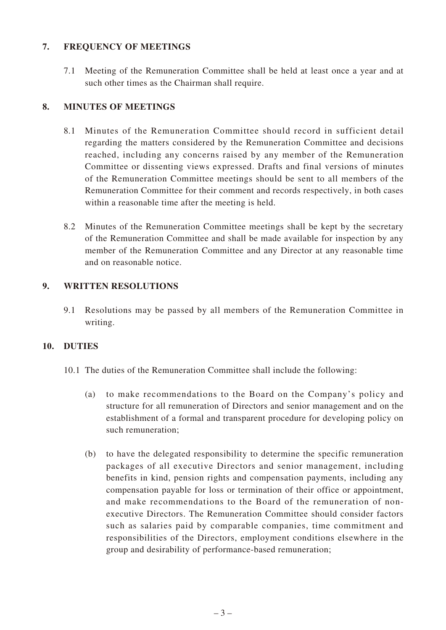#### **7. FREQUENCY OF MEETINGS**

7.1 Meeting of the Remuneration Committee shall be held at least once a year and at such other times as the Chairman shall require.

#### **8. MINUTES OF MEETINGS**

- 8.1 Minutes of the Remuneration Committee should record in sufficient detail regarding the matters considered by the Remuneration Committee and decisions reached, including any concerns raised by any member of the Remuneration Committee or dissenting views expressed. Drafts and final versions of minutes of the Remuneration Committee meetings should be sent to all members of the Remuneration Committee for their comment and records respectively, in both cases within a reasonable time after the meeting is held.
- 8.2 Minutes of the Remuneration Committee meetings shall be kept by the secretary of the Remuneration Committee and shall be made available for inspection by any member of the Remuneration Committee and any Director at any reasonable time and on reasonable notice.

#### **9. WRITTEN RESOLUTIONS**

9.1 Resolutions may be passed by all members of the Remuneration Committee in writing.

#### **10. DUTIES**

- 10.1 The duties of the Remuneration Committee shall include the following:
	- (a) to make recommendations to the Board on the Company's policy and structure for all remuneration of Directors and senior management and on the establishment of a formal and transparent procedure for developing policy on such remuneration;
	- (b) to have the delegated responsibility to determine the specific remuneration packages of all executive Directors and senior management, including benefits in kind, pension rights and compensation payments, including any compensation payable for loss or termination of their office or appointment, and make recommendations to the Board of the remuneration of nonexecutive Directors. The Remuneration Committee should consider factors such as salaries paid by comparable companies, time commitment and responsibilities of the Directors, employment conditions elsewhere in the group and desirability of performance-based remuneration;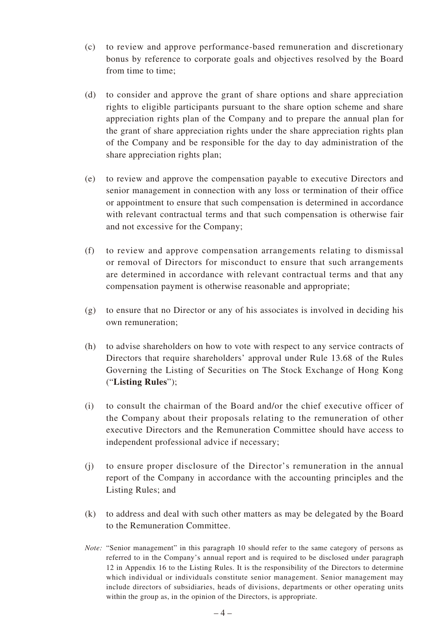- (c) to review and approve performance-based remuneration and discretionary bonus by reference to corporate goals and objectives resolved by the Board from time to time;
- (d) to consider and approve the grant of share options and share appreciation rights to eligible participants pursuant to the share option scheme and share appreciation rights plan of the Company and to prepare the annual plan for the grant of share appreciation rights under the share appreciation rights plan of the Company and be responsible for the day to day administration of the share appreciation rights plan;
- (e) to review and approve the compensation payable to executive Directors and senior management in connection with any loss or termination of their office or appointment to ensure that such compensation is determined in accordance with relevant contractual terms and that such compensation is otherwise fair and not excessive for the Company;
- (f) to review and approve compensation arrangements relating to dismissal or removal of Directors for misconduct to ensure that such arrangements are determined in accordance with relevant contractual terms and that any compensation payment is otherwise reasonable and appropriate;
- (g) to ensure that no Director or any of his associates is involved in deciding his own remuneration;
- (h) to advise shareholders on how to vote with respect to any service contracts of Directors that require shareholders' approval under Rule 13.68 of the Rules Governing the Listing of Securities on The Stock Exchange of Hong Kong ("**Listing Rules**");
- (i) to consult the chairman of the Board and/or the chief executive officer of the Company about their proposals relating to the remuneration of other executive Directors and the Remuneration Committee should have access to independent professional advice if necessary;
- (j) to ensure proper disclosure of the Director's remuneration in the annual report of the Company in accordance with the accounting principles and the Listing Rules; and
- (k) to address and deal with such other matters as may be delegated by the Board to the Remuneration Committee.
- *Note:* "Senior management" in this paragraph 10 should refer to the same category of persons as referred to in the Company's annual report and is required to be disclosed under paragraph 12 in Appendix 16 to the Listing Rules. It is the responsibility of the Directors to determine which individual or individuals constitute senior management. Senior management may include directors of subsidiaries, heads of divisions, departments or other operating units within the group as, in the opinion of the Directors, is appropriate.